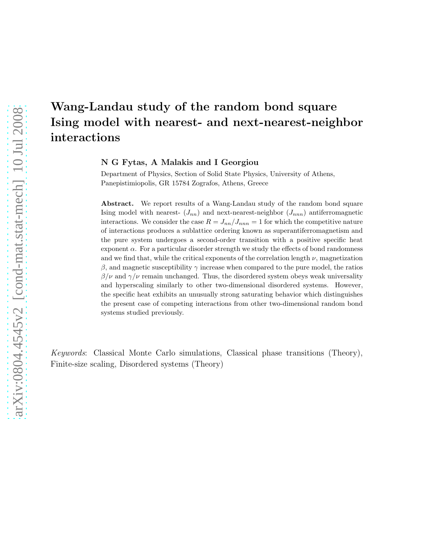## Wang-Landau study of the random bond square Ising model with nearest- and next-nearest-neighbor interactions

N G Fytas, A Malakis and I Georgiou

Department of Physics, Section of Solid State Physics, University of Athens, Panepistimiopolis, GR 15784 Zografos, Athens, Greece

Abstract. We report results of a Wang-Landau study of the random bond square Ising model with nearest-  $(J_{nn})$  and next-nearest-neighbor  $(J_{nnn})$  antiferromagnetic interactions. We consider the case  $R = J_{nn}/J_{nnn} = 1$  for which the competitive nature of interactions produces a sublattice ordering known as superantiferromagnetism and the pure system undergoes a second-order transition with a positive specific heat exponent  $\alpha$ . For a particular disorder strength we study the effects of bond randomness and we find that, while the critical exponents of the correlation length  $\nu$ , magnetization β, and magnetic susceptibility  $\gamma$  increase when compared to the pure model, the ratios  $\beta/\nu$  and  $\gamma/\nu$  remain unchanged. Thus, the disordered system obeys weak universality and hyperscaling similarly to other two-dimensional disordered systems. However, the specific heat exhibits an unusually strong saturating behavior which distinguishes the present case of competing interactions from other two-dimensional random bond systems studied previously.

Keywords: Classical Monte Carlo simulations, Classical phase transitions (Theory), Finite-size scaling, Disordered systems (Theory)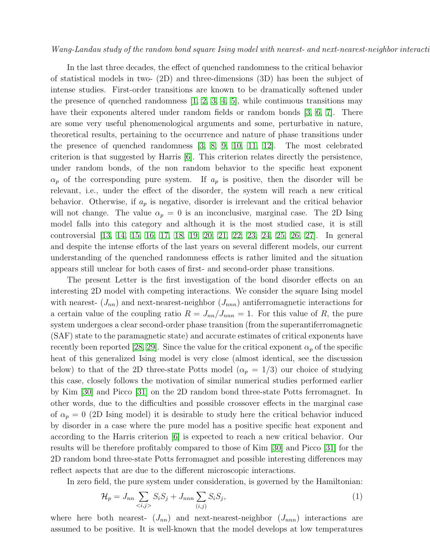In the last three decades, the effect of quenched randomness to the critical behavior of statistical models in two- (2D) and three-dimensions (3D) has been the subject of intense studies. First-order transitions are known to be dramatically softened under the presence of quenched randomness  $[1, 2, 3, 4, 5]$  $[1, 2, 3, 4, 5]$  $[1, 2, 3, 4, 5]$  $[1, 2, 3, 4, 5]$  $[1, 2, 3, 4, 5]$ , while continuous transitions may have their exponents altered under random fields or random bonds [\[3,](#page-8-2) [6,](#page-8-5) [7\]](#page-8-6). There are some very useful phenomenological arguments and some, perturbative in nature, theoretical results, pertaining to the occurrence and nature of phase transitions under the presence of quenched randomness [\[3,](#page-8-2) [8,](#page-8-7) [9,](#page-8-8) [10,](#page-8-9) [11,](#page-8-10) [12\]](#page-8-11). The most celebrated criterion is that suggested by Harris [\[6\]](#page-8-5). This criterion relates directly the persistence, under random bonds, of the non random behavior to the specific heat exponent  $\alpha_p$  of the corresponding pure system. If  $a_p$  is positive, then the disorder will be relevant, i.e., under the effect of the disorder, the system will reach a new critical behavior. Otherwise, if  $a_p$  is negative, disorder is irrelevant and the critical behavior will not change. The value  $\alpha_p = 0$  is an inconclusive, marginal case. The 2D Ising model falls into this category and although it is the most studied case, it is still controversial [\[13,](#page-8-12) [14,](#page-8-13) [15,](#page-8-14) [16,](#page-8-15) [17,](#page-8-16) [18,](#page-8-17) [19,](#page-8-18) [20,](#page-8-19) [21,](#page-8-20) [22,](#page-8-21) [23,](#page-8-22) [24,](#page-8-23) [25,](#page-8-24) [26,](#page-8-25) [27\]](#page-8-26). In general and despite the intense efforts of the last years on several different models, our current understanding of the quenched randomness effects is rather limited and the situation appears still unclear for both cases of first- and second-order phase transitions.

The present Letter is the first investigation of the bond disorder effects on an interesting 2D model with competing interactions. We consider the square Ising model with nearest-  $(J_{nn})$  and next-nearest-neighbor  $(J_{nnn})$  antiferromagnetic interactions for a certain value of the coupling ratio  $R = J_{nn}/J_{nnn} = 1$ . For this value of R, the pure system undergoes a clear second-order phase transition (from the superantiferromagnetic (SAF) state to the paramagnetic state) and accurate estimates of critical exponents have recently been reported [\[28,](#page-8-27) [29\]](#page-8-28). Since the value for the critical exponent  $\alpha_p$  of the specific heat of this generalized Ising model is very close (almost identical, see the discussion below) to that of the 2D three-state Potts model  $(\alpha_p = 1/3)$  our choice of studying this case, closely follows the motivation of similar numerical studies performed earlier by Kim [\[30\]](#page-8-29) and Picco [\[31\]](#page-8-30) on the 2D random bond three-state Potts ferromagnet. In other words, due to the difficulties and possible crossover effects in the marginal case of  $\alpha_p = 0$  (2D Ising model) it is desirable to study here the critical behavior induced by disorder in a case where the pure model has a positive specific heat exponent and according to the Harris criterion [\[6\]](#page-8-5) is expected to reach a new critical behavior. Our results will be therefore profitably compared to those of Kim [\[30\]](#page-8-29) and Picco [\[31\]](#page-8-30) for the 2D random bond three-state Potts ferromagnet and possible interesting differences may reflect aspects that are due to the different microscopic interactions.

In zero field, the pure system under consideration, is governed by the Hamiltonian:

<span id="page-1-0"></span>
$$
\mathcal{H}_p = J_{nn} \sum_{\langle i,j \rangle} S_i S_j + J_{nnn} \sum_{(i,j)} S_i S_j,\tag{1}
$$

where here both nearest-  $(J_{nn})$  and next-nearest-neighbor  $(J_{nnn})$  interactions are assumed to be positive. It is well-known that the model develops at low temperatures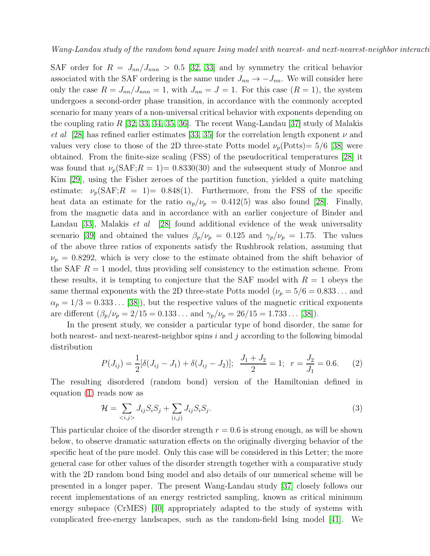SAF order for  $R = J_{nn}/J_{nnn} > 0.5$  [\[32,](#page-8-31) [33\]](#page-8-32) and by symmetry the critical behavior associated with the SAF ordering is the same under  $J_{nn} \rightarrow -J_{nn}$ . We will consider here only the case  $R = J_{nn}/J_{nnn} = 1$ , with  $J_{nn} = J = 1$ . For this case  $(R = 1)$ , the system undergoes a second-order phase transition, in accordance with the commonly accepted scenario for many years of a non-universal critical behavior with exponents depending on the coupling ratio R [\[32,](#page-8-31) [33,](#page-8-32) [34,](#page-8-33) [35,](#page-8-34) [36\]](#page-8-35). The recent Wang-Landau [\[37\]](#page-8-36) study of Malakis et al [\[28\]](#page-8-27) has refined earlier estimates [\[33,](#page-8-32) [35\]](#page-8-34) for the correlation length exponent  $\nu$  and values very close to those of the 2D three-state Potts model  $\nu_p(\text{Potts})= 5/6$  [\[38\]](#page-8-37) were obtained. From the finite-size scaling (FSS) of the pseudocritical temperatures [\[28\]](#page-8-27) it was found that  $\nu_p(SAF;R=1)$  = 0.8330(30) and the subsequent study of Monroe and Kim [\[29\]](#page-8-28), using the Fisher zeroes of the partition function, yielded a quite matching estimate:  $\nu_p(SAF;R = 1) = 0.848(1)$ . Furthermore, from the FSS of the specific heat data an estimate for the ratio  $\alpha_p/\nu_p = 0.412(5)$  was also found [\[28\]](#page-8-27). Finally, from the magnetic data and in accordance with an earlier conjecture of Binder and Landau [\[33\]](#page-8-32), Malakis *et al* [\[28\]](#page-8-27) found additional evidence of the weak universality scenario [\[39\]](#page-8-38) and obtained the values  $\beta_p/\nu_p = 0.125$  and  $\gamma_p/\nu_p = 1.75$ . The values of the above three ratios of exponents satisfy the Rushbrook relation, assuming that  $\nu_p = 0.8292$ , which is very close to the estimate obtained from the shift behavior of the SAF  $R = 1$  model, thus providing self consistency to the estimation scheme. From these results, it is tempting to conjecture that the SAF model with  $R = 1$  obeys the same thermal exponents with the 2D three-state Potts model ( $\nu_p = 5/6 = 0.833...$  and  $\alpha_p = 1/3 = 0.333...$  [\[38\]](#page-8-37)), but the respective values of the magnetic critical exponents are different  $(\beta_p/\nu_p = 2/15 = 0.133...$  and  $\gamma_p/\nu_p = 26/15 = 1.733...$  [\[38\]](#page-8-37)).

In the present study, we consider a particular type of bond disorder, the same for both nearest- and next-nearest-neighbor spins  $i$  and  $j$  according to the following bimodal distribution

$$
P(J_{ij}) = \frac{1}{2} [\delta(J_{ij} - J_1) + \delta(J_{ij} - J_2)]; \quad \frac{J_1 + J_2}{2} = 1; \quad r = \frac{J_2}{J_1} = 0.6. \tag{2}
$$

The resulting disordered (random bond) version of the Hamiltonian defined in equation [\(1\)](#page-1-0) reads now as

$$
\mathcal{H} = \sum_{\langle i,j \rangle} J_{ij} S_i S_j + \sum_{(i,j)} J_{ij} S_i S_j. \tag{3}
$$

This particular choice of the disorder strength  $r = 0.6$  is strong enough, as will be shown below, to observe dramatic saturation effects on the originally diverging behavior of the specific heat of the pure model. Only this case will be considered in this Letter; the more general case for other values of the disorder strength together with a comparative study with the 2D random bond Ising model and also details of our numerical scheme will be presented in a longer paper. The present Wang-Landau study [\[37\]](#page-8-36) closely follows our recent implementations of an energy restricted sampling, known as critical minimum energy subspace (CrMES) [\[40\]](#page-8-39) appropriately adapted to the study of systems with complicated free-energy landscapes, such as the random-field Ising model [\[41\]](#page-8-40). We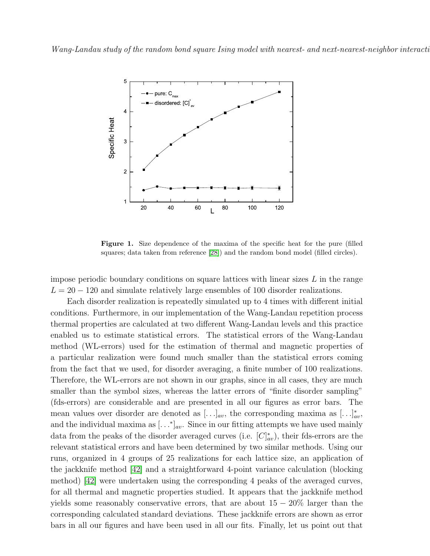

<span id="page-3-0"></span>Figure 1. Size dependence of the maxima of the specific heat for the pure (filled squares; data taken from reference [\[28\]](#page-8-27)) and the random bond model (filled circles).

impose periodic boundary conditions on square lattices with linear sizes  $L$  in the range  $L = 20 - 120$  and simulate relatively large ensembles of 100 disorder realizations.

Each disorder realization is repeatedly simulated up to 4 times with different initial conditions. Furthermore, in our implementation of the Wang-Landau repetition process thermal properties are calculated at two different Wang-Landau levels and this practice enabled us to estimate statistical errors. The statistical errors of the Wang-Landau method (WL-errors) used for the estimation of thermal and magnetic properties of a particular realization were found much smaller than the statistical errors coming from the fact that we used, for disorder averaging, a finite number of 100 realizations. Therefore, the WL-errors are not shown in our graphs, since in all cases, they are much smaller than the symbol sizes, whereas the latter errors of "finite disorder sampling" (fds-errors) are considerable and are presented in all our figures as error bars. The mean values over disorder are denoted as  $[\ldots]_{av}$ , the corresponding maxima as  $[\ldots]_{av}^*$ , and the individual maxima as  $[\ldots^*]_{av}$ . Since in our fitting attempts we have used mainly data from the peaks of the disorder averaged curves (i.e.  $[C]_{av}^*$ ), their fds-errors are the relevant statistical errors and have been determined by two similar methods. Using our runs, organized in 4 groups of 25 realizations for each lattice size, an application of the jackknife method [\[42\]](#page-8-41) and a straightforward 4-point variance calculation (blocking method) [\[42\]](#page-8-41) were undertaken using the corresponding 4 peaks of the averaged curves, for all thermal and magnetic properties studied. It appears that the jackknife method yields some reasonably conservative errors, that are about  $15 - 20\%$  larger than the corresponding calculated standard deviations. These jackknife errors are shown as error bars in all our figures and have been used in all our fits. Finally, let us point out that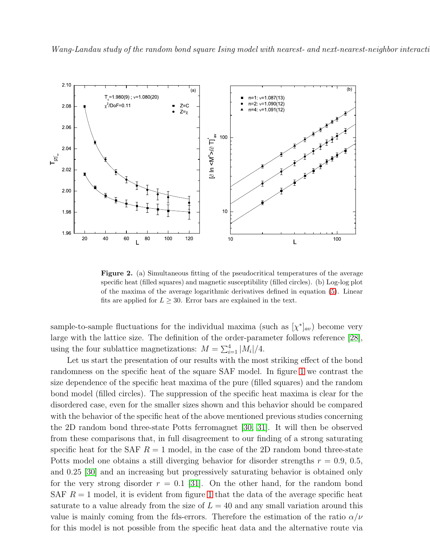

<span id="page-4-0"></span>Figure 2. (a) Simultaneous fitting of the pseudocritical temperatures of the average specific heat (filled squares) and magnetic susceptibility (filled circles). (b) Log-log plot of the maxima of the average logarithmic derivatives defined in equation [\(5\)](#page-5-0). Linear fits are applied for  $L \geq 30$ . Error bars are explained in the text.

sample-to-sample fluctuations for the individual maxima (such as  $[\chi^*]_{av}$ ) become very large with the lattice size. The definition of the order-parameter follows reference [\[28\]](#page-8-27), using the four sublattice magnetizations:  $M = \sum_{i=1}^{4} |M_i|/4$ .

Let us start the presentation of our results with the most striking effect of the bond randomness on the specific heat of the square SAF model. In figure [1](#page-3-0) we contrast the size dependence of the specific heat maxima of the pure (filled squares) and the random bond model (filled circles). The suppression of the specific heat maxima is clear for the disordered case, even for the smaller sizes shown and this behavior should be compared with the behavior of the specific heat of the above mentioned previous studies concerning the 2D random bond three-state Potts ferromagnet [\[30,](#page-8-29) [31\]](#page-8-30). It will then be observed from these comparisons that, in full disagreement to our finding of a strong saturating specific heat for the SAF  $R = 1$  model, in the case of the 2D random bond three-state Potts model one obtains a still diverging behavior for disorder strengths  $r = 0.9, 0.5$ , and 0.25 [\[30\]](#page-8-29) and an increasing but progressively saturating behavior is obtained only for the very strong disorder  $r = 0.1$  [\[31\]](#page-8-30). On the other hand, for the random bond SAF  $R = 1$  $R = 1$  model, it is evident from figure 1 that the data of the average specific heat saturate to a value already from the size of  $L = 40$  and any small variation around this value is mainly coming from the fds-errors. Therefore the estimation of the ratio  $\alpha/\nu$ for this model is not possible from the specific heat data and the alternative route via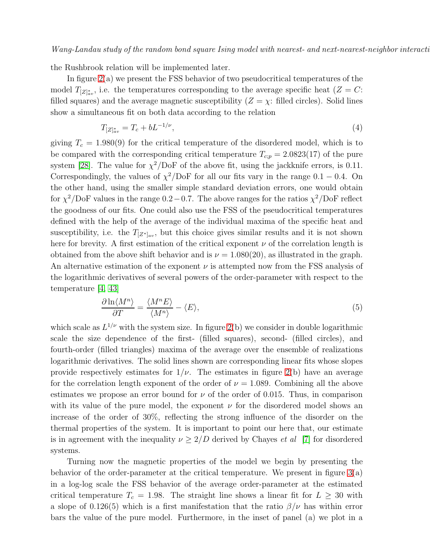the Rushbrook relation will be implemented later.

In figure [2\(](#page-4-0)a) we present the FSS behavior of two pseudocritical temperatures of the model  $T_{[Z]_{av}^*}$ , i.e. the temperatures corresponding to the average specific heat  $(Z = C$ : filled squares) and the average magnetic susceptibility ( $Z = \chi$ : filled circles). Solid lines show a simultaneous fit on both data according to the relation

$$
T_{[Z]_{av}^*} = T_c + bL^{-1/\nu},\tag{4}
$$

giving  $T_c = 1.980(9)$  for the critical temperature of the disordered model, which is to be compared with the corresponding critical temperature  $T_{cx} = 2.0823(17)$  of the pure system [\[28\]](#page-8-27). The value for  $\chi^2/\text{DoF}$  of the above fit, using the jackknife errors, is 0.11. Correspondingly, the values of  $\chi^2/\text{DoF}$  for all our fits vary in the range 0.1 – 0.4. On the other hand, using the smaller simple standard deviation errors, one would obtain for  $\chi^2/\text{DoF}$  values in the range 0.2 – 0.7. The above ranges for the ratios  $\chi^2/\text{DoF}$  reflect the goodness of our fits. One could also use the FSS of the pseudocritical temperatures defined with the help of the average of the individual maxima of the specific heat and susceptibility, i.e. the  $T_{[Z^*]_{av}}$ , but this choice gives similar results and it is not shown here for brevity. A first estimation of the critical exponent  $\nu$  of the correlation length is obtained from the above shift behavior and is  $\nu = 1.080(20)$ , as illustrated in the graph. An alternative estimation of the exponent  $\nu$  is attempted now from the FSS analysis of the logarithmic derivatives of several powers of the order-parameter with respect to the temperature [\[4,](#page-8-3) [43\]](#page-8-42)

<span id="page-5-0"></span>
$$
\frac{\partial \ln \langle M^n \rangle}{\partial T} = \frac{\langle M^n E \rangle}{\langle M^n \rangle} - \langle E \rangle,
$$
\n(5)

which scale as  $L^{1/\nu}$  with the system size. In figure [2\(](#page-4-0)b) we consider in double logarithmic scale the size dependence of the first- (filled squares), second- (filled circles), and fourth-order (filled triangles) maxima of the average over the ensemble of realizations logarithmic derivatives. The solid lines shown are corresponding linear fits whose slopes provide respectively estimates for  $1/\nu$ . The estimates in figure [2\(](#page-4-0)b) have an average for the correlation length exponent of the order of  $\nu = 1.089$ . Combining all the above estimates we propose an error bound for  $\nu$  of the order of 0.015. Thus, in comparison with its value of the pure model, the exponent  $\nu$  for the disordered model shows an increase of the order of 30%, reflecting the strong influence of the disorder on the thermal properties of the system. It is important to point our here that, our estimate is in agreement with the inequality  $\nu \geq 2/D$  derived by Chayes *et al* [\[7\]](#page-8-6) for disordered systems.

Turning now the magnetic properties of the model we begin by presenting the behavior of the order-parameter at the critical temperature. We present in figure [3\(](#page-6-0)a) in a log-log scale the FSS behavior of the average order-parameter at the estimated critical temperature  $T_c = 1.98$ . The straight line shows a linear fit for  $L \geq 30$  with a slope of 0.126(5) which is a first manifestation that the ratio  $\beta/\nu$  has within error bars the value of the pure model. Furthermore, in the inset of panel (a) we plot in a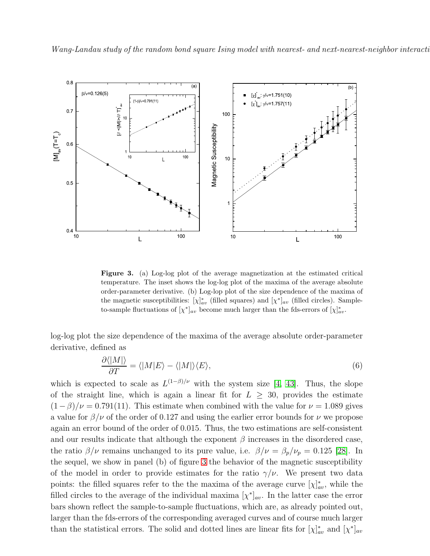



<span id="page-6-0"></span>Figure 3. (a) Log-log plot of the average magnetization at the estimated critical temperature. The inset shows the log-log plot of the maxima of the average absolute order-parameter derivative. (b) Log-lop plot of the size dependence of the maxima of the magnetic susceptibilities:  $[\chi]_{av}^*$  (filled squares) and  $[\chi^*]_{av}$  (filled circles). Sampleto-sample fluctuations of  $[\chi^*]_{av}$  become much larger than the fds-errors of  $[\chi]_{av}^*$ .

log-log plot the size dependence of the maxima of the average absolute order-parameter derivative, defined as

$$
\frac{\partial \langle |M| \rangle}{\partial T} = \langle |M|E \rangle - \langle |M| \rangle \langle E \rangle,\tag{6}
$$

which is expected to scale as  $L^{(1-\beta)/\nu}$  with the system size [\[4,](#page-8-3) [43\]](#page-8-42). Thus, the slope of the straight line, which is again a linear fit for  $L \geq 30$ , provides the estimate  $(1-\beta)/\nu = 0.791(11)$ . This estimate when combined with the value for  $\nu = 1.089$  gives a value for  $\beta/\nu$  of the order of 0.127 and using the earlier error bounds for  $\nu$  we propose again an error bound of the order of 0.015. Thus, the two estimations are self-consistent and our results indicate that although the exponent  $\beta$  increases in the disordered case, the ratio  $\beta/\nu$  remains unchanged to its pure value, i.e.  $\beta/\nu = \beta_p/\nu_p = 0.125$  [\[28\]](#page-8-27). In the sequel, we show in panel (b) of figure [3](#page-6-0) the behavior of the magnetic susceptibility of the model in order to provide estimates for the ratio  $\gamma/\nu$ . We present two data points: the filled squares refer to the the maxima of the average curve  $[\chi]_{av}^*$ , while the filled circles to the average of the individual maxima  $[\chi^*]_{av}$ . In the latter case the error bars shown reflect the sample-to-sample fluctuations, which are, as already pointed out, larger than the fds-errors of the corresponding averaged curves and of course much larger than the statistical errors. The solid and dotted lines are linear fits for  $[\chi]_{av}^*$  and  $[\chi^*]_{av}$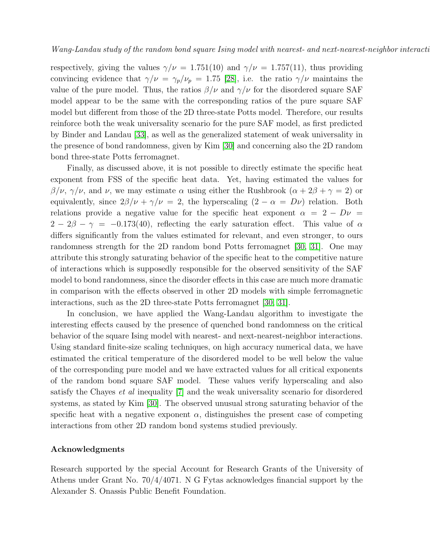respectively, giving the values  $\gamma/\nu = 1.751(10)$  and  $\gamma/\nu = 1.757(11)$ , thus providing convincing evidence that  $\gamma/\nu = \gamma_p/\nu_p = 1.75$  [\[28\]](#page-8-27), i.e. the ratio  $\gamma/\nu$  maintains the value of the pure model. Thus, the ratios  $\beta/\nu$  and  $\gamma/\nu$  for the disordered square SAF model appear to be the same with the corresponding ratios of the pure square SAF model but different from those of the 2D three-state Potts model. Therefore, our results reinforce both the weak universality scenario for the pure SAF model, as first predicted by Binder and Landau [\[33\]](#page-8-32), as well as the generalized statement of weak universality in the presence of bond randomness, given by Kim [\[30\]](#page-8-29) and concerning also the 2D random bond three-state Potts ferromagnet.

Finally, as discussed above, it is not possible to directly estimate the specific heat exponent from FSS of the specific heat data. Yet, having estimated the values for  $\beta/\nu$ ,  $\gamma/\nu$ , and  $\nu$ , we may estimate  $\alpha$  using either the Rushbrook  $(\alpha + 2\beta + \gamma = 2)$  or equivalently, since  $2\beta/\nu + \gamma/\nu = 2$ , the hyperscaling  $(2 - \alpha = D\nu)$  relation. Both relations provide a negative value for the specific heat exponent  $\alpha = 2 - D\nu =$  $2 - 2\beta - \gamma = -0.173(40)$ , reflecting the early saturation effect. This value of  $\alpha$ differs significantly from the values estimated for relevant, and even stronger, to ours randomness strength for the 2D random bond Potts ferromagnet [\[30,](#page-8-29) [31\]](#page-8-30). One may attribute this strongly saturating behavior of the specific heat to the competitive nature of interactions which is supposedly responsible for the observed sensitivity of the SAF model to bond randomness, since the disorder effects in this case are much more dramatic in comparison with the effects observed in other 2D models with simple ferromagnetic interactions, such as the 2D three-state Potts ferromagnet [\[30,](#page-8-29) [31\]](#page-8-30).

In conclusion, we have applied the Wang-Landau algorithm to investigate the interesting effects caused by the presence of quenched bond randomness on the critical behavior of the square Ising model with nearest- and next-nearest-neighbor interactions. Using standard finite-size scaling techniques, on high accuracy numerical data, we have estimated the critical temperature of the disordered model to be well below the value of the corresponding pure model and we have extracted values for all critical exponents of the random bond square SAF model. These values verify hyperscaling and also satisfy the Chayes et al inequality [\[7\]](#page-8-6) and the weak universality scenario for disordered systems, as stated by Kim [\[30\]](#page-8-29). The observed unusual strong saturating behavior of the specific heat with a negative exponent  $\alpha$ , distinguishes the present case of competing interactions from other 2D random bond systems studied previously.

## Acknowledgments

Research supported by the special Account for Research Grants of the University of Athens under Grant No. 70/4/4071. N G Fytas acknowledges financial support by the Alexander S. Onassis Public Benefit Foundation.